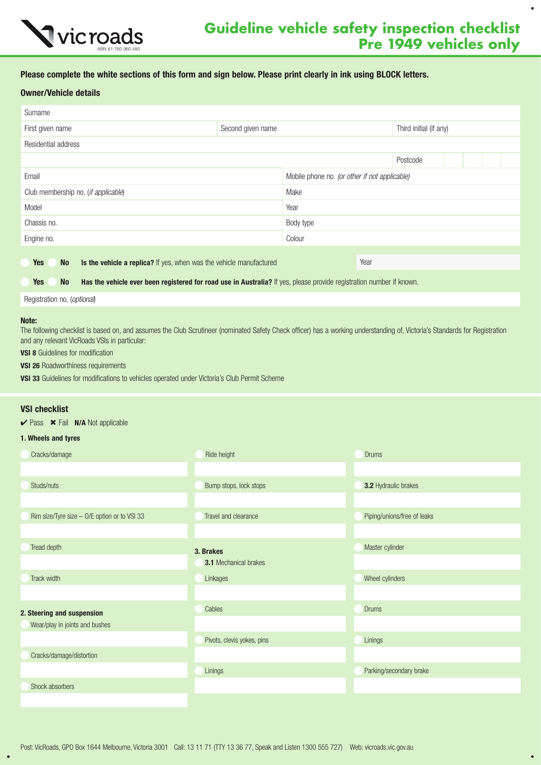

 $\bullet$ 

## Please complete the white sections of this form and sign below. Please print clearly in ink using BLOCK letters.

### Owner/Vehicle details

| Second given name                                                   |          |                                                                                                                                                                                                 |
|---------------------------------------------------------------------|----------|-------------------------------------------------------------------------------------------------------------------------------------------------------------------------------------------------|
|                                                                     |          |                                                                                                                                                                                                 |
|                                                                     | Postcode |                                                                                                                                                                                                 |
|                                                                     |          |                                                                                                                                                                                                 |
| Make                                                                |          |                                                                                                                                                                                                 |
| Year                                                                |          |                                                                                                                                                                                                 |
| Body type                                                           |          |                                                                                                                                                                                                 |
| Colour                                                              |          |                                                                                                                                                                                                 |
|                                                                     |          |                                                                                                                                                                                                 |
| Is the vehicle a replica? If yes, when was the vehicle manufactured | Year     |                                                                                                                                                                                                 |
|                                                                     |          |                                                                                                                                                                                                 |
|                                                                     |          | Third initial (if any)<br>Mobile phone no. (or other if not applicable)<br>Has the vehicle ever been registered for road use in Australia? If yes, please provide registration number if known. |

Registration no. (*optional*)

#### Note:

The following checklist is based on, and assumes the Club Scrutineer (nominated Safety Check officer) has a working understanding of, Victoria's Standards for Registration and any relevant VicRoads VSIs in particular:

**VSI 8** Guidelines for modification

**VSI 26 Roadworthiness requirements** 

VSI 33 Guidelines for modifications to vehicles operated under Victoria's Club Permit Scheme

#### VSI checklist

 $\checkmark$  Pass  $\checkmark$  Fail N/A Not applicable

#### 1. Wheels and tyres

| Cracks/damage                                | Ride height                  | <b>Drums</b>                |
|----------------------------------------------|------------------------------|-----------------------------|
|                                              |                              |                             |
| Studs/nuts                                   | Bump stops, lock stops       | 3.2 Hydraulic brakes        |
|                                              |                              |                             |
| Rim size/Tyre size - O/E option or to VSI 33 | Travel and clearance         | Piping/unions/free of leaks |
|                                              |                              |                             |
| Tread depth                                  | 3. Brakes                    | Master cylinder             |
|                                              | <b>3.1</b> Mechanical brakes |                             |
| Track width                                  | Linkages                     | Wheel cylinders             |
|                                              |                              |                             |
| 2. Steering and suspension                   | Cables                       | <b>Drums</b>                |
| Wear/play in joints and bushes               |                              |                             |
|                                              | Pivots, clevis yokes, pins   | Linings                     |
| Cracks/damage/distortion                     |                              |                             |
|                                              | Linings                      | Parking/secondary brake     |
| Shock absorbers                              |                              |                             |
|                                              |                              |                             |